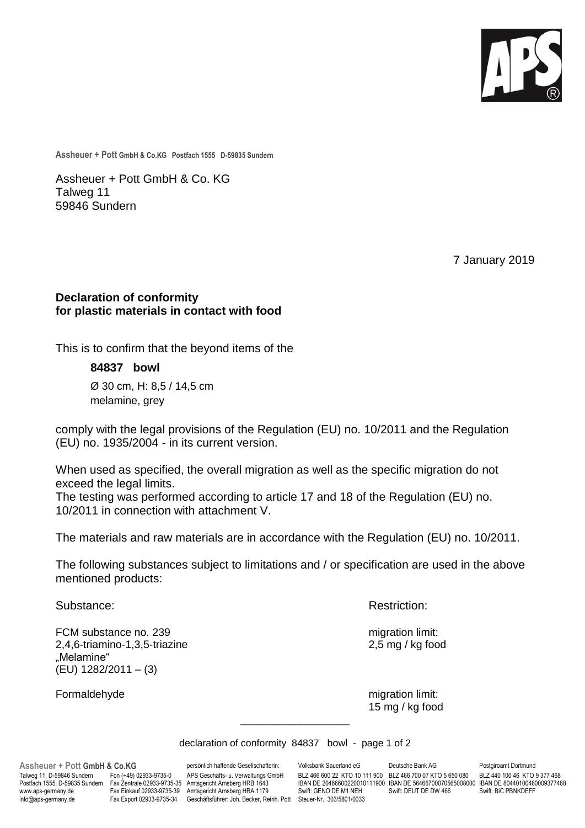

**Assheuer + Pott GmbH & Co.KG Postfach 1555 D-59835 Sundern**

Assheuer + Pott GmbH & Co. KG Talweg 11 59846 Sundern

7 January 2019

## **Declaration of conformity for plastic materials in contact with food**

This is to confirm that the beyond items of the

**84837 bowl** Ø 30 cm, H: 8,5 / 14,5 cm

melamine, grey

comply with the legal provisions of the Regulation (EU) no. 10/2011 and the Regulation (EU) no. 1935/2004 - in its current version.

When used as specified, the overall migration as well as the specific migration do not exceed the legal limits.

The testing was performed according to article 17 and 18 of the Regulation (EU) no. 10/2011 in connection with attachment V.

The materials and raw materials are in accordance with the Regulation (EU) no. 10/2011.

The following substances subject to limitations and / or specification are used in the above mentioned products:

FCM substance no. 239 migration limit: 2,4,6-triamino-1,3,5-triazine 2,5 mg / kg food "Melamine" (EU) 1282/2011 – (3)

Substance: **Restriction: Restriction: Restriction:** 

Formaldehyde migration limit: 15 mg / kg food

declaration of conformity 84837 bowl - page 1 of 2

\_\_\_\_\_\_\_\_\_\_\_\_\_\_\_\_\_\_\_\_

www.aps-germany.de Fax Einkauf 02933-9735-39 Amtsgericht Arnsberg HRA 1179<br>http: Geschäftsführer: Joh. Becker, Rehner GENO DET FRAMINGERFFFFERENDER FRAMINGERFFFERE

**Assheuer + Pott GmbH & Co.KG** persönlich haftende Gesellschafterin: Volksbank Sauerland eG Deutsche Bank AG Postgiroamt Dortmund<br>Talweg 11, D-59846 Sundern Fon (+49) 02933-9735-0 APS Geschäfts- u. Verwaltungs GmbH BLZ 466 Talweg 11, D-59846 Sundern Fon (+49) 02933-9735-0 APS Geschäfts- u. Verwaltungs GmbH BLZ 466 600 22 KTO 10 111 900 BLZ 466 700 07 KTO 5 650 080<br>Postfach 1555, D-59835 Sundern Fax Zentrale 02933-9735-35 Amtsgericht Arnsberg Postfach 1555, D-59835 Sundern Fax Zentrale 02933-9735-35 Amtsgericht Arnsberg HRB 1643 IBAN DE 20466600220010111900 IBAN DE 56466700070565008000 IBAN DE 80440100460009377468<br>www.aps-germany.de Fax Einkauf 02933-9735-39 Am Fax Export 02933-9735-34 Geschäftsführer: Joh. Becker, Reinh. Pott Steuer-Nr.: 303/5801/0033